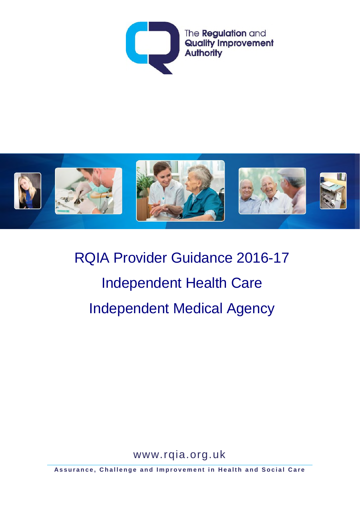



RQIA Provider Guidance 2016-17 Independent Health Care Independent Medical Agency

www.rqia.org.uk

**Assurance, Challenge and Improvement in Health and Social Care**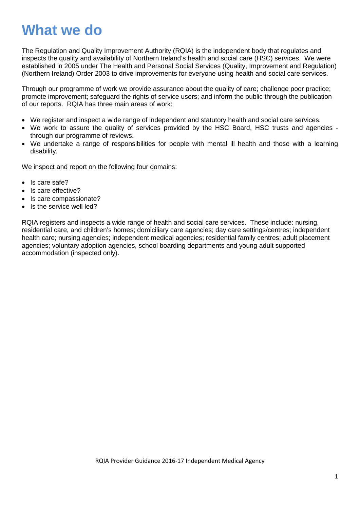# **What we do**

The Regulation and Quality Improvement Authority (RQIA) is the independent body that regulates and inspects the quality and availability of Northern Ireland's health and social care (HSC) services. We were established in 2005 under The Health and Personal Social Services (Quality, Improvement and Regulation) (Northern Ireland) Order 2003 to drive improvements for everyone using health and social care services.

Through our programme of work we provide assurance about the quality of care; challenge poor practice; promote improvement; safeguard the rights of service users; and inform the public through the publication of our reports. RQIA has three main areas of work:

- We register and inspect a wide range of independent and statutory health and social care services.
- We work to assure the quality of services provided by the HSC Board, HSC trusts and agencies through our programme of reviews.
- We undertake a range of responsibilities for people with mental ill health and those with a learning disability.

We inspect and report on the following four domains:

- Is care safe?
- Is care effective?
- Is care compassionate?
- Is the service well led?

RQIA registers and inspects a wide range of health and social care services. These include: nursing, residential care, and children's homes; domiciliary care agencies; day care settings/centres; independent health care; nursing agencies; independent medical agencies; residential family centres; adult placement agencies; voluntary adoption agencies, school boarding departments and young adult supported accommodation (inspected only).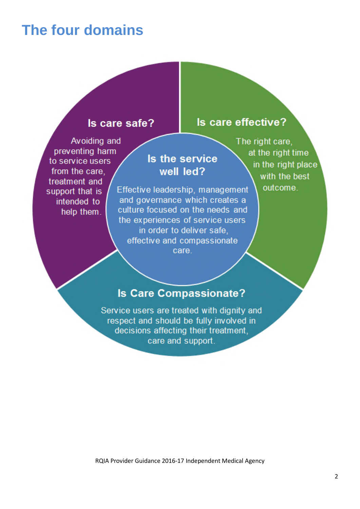# **The four domains**

#### Is care safe?

Avoiding and preventing harm to service users from the care. treatment and support that is intended to help them.

## Is the service well led?

Effective leadership, management and governance which creates a culture focused on the needs and the experiences of service users in order to deliver safe. effective and compassionate care.

The right care. at the right time in the right place with the best outcome.

Is care effective?

## **Is Care Compassionate?**

Service users are treated with dignity and respect and should be fully involved in decisions affecting their treatment. care and support.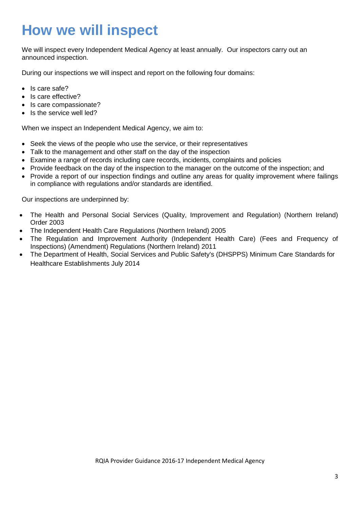# **How we will inspect**

We will inspect every Independent Medical Agency at least annually. Our inspectors carry out an announced inspection.

During our inspections we will inspect and report on the following four domains:

- Is care safe?
- Is care effective?
- Is care compassionate?
- Is the service well led?

When we inspect an Independent Medical Agency, we aim to:

- Seek the views of the people who use the service, or their representatives
- Talk to the management and other staff on the day of the inspection
- Examine a range of records including care records, incidents, complaints and policies
- Provide feedback on the day of the inspection to the manager on the outcome of the inspection; and
- Provide a report of our inspection findings and outline any areas for quality improvement where failings in compliance with regulations and/or standards are identified.

Our inspections are underpinned by:

- The Health and Personal Social Services (Quality, Improvement and Regulation) (Northern Ireland) Order 2003
- The Independent Health Care Regulations (Northern Ireland) 2005
- The Regulation and Improvement Authority (Independent Health Care) (Fees and Frequency of Inspections) (Amendment) Regulations (Northern Ireland) 2011
- The Department of Health, Social Services and Public Safety's (DHSPPS) Minimum Care Standards for Healthcare Establishments July 2014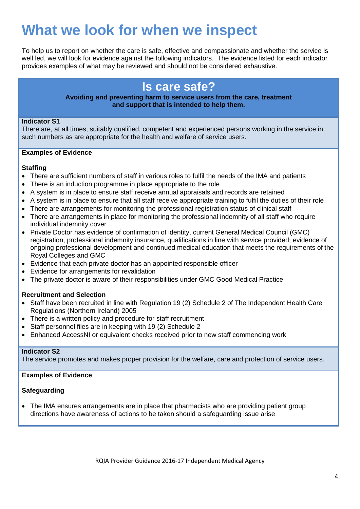# **What we look for when we inspect**

To help us to report on whether the care is safe, effective and compassionate and whether the service is well led, we will look for evidence against the following indicators. The evidence listed for each indicator provides examples of what may be reviewed and should not be considered exhaustive.

## **Is care safe?**

#### **Avoiding and preventing harm to service users from the care, treatment and support that is intended to help them.**

#### **Indicator S1**

There are, at all times, suitably qualified, competent and experienced persons working in the service in such numbers as are appropriate for the health and welfare of service users.

#### **Examples of Evidence**

#### **Staffing**

- There are sufficient numbers of staff in various roles to fulfil the needs of the IMA and patients
- There is an induction programme in place appropriate to the role
- A system is in place to ensure staff receive annual appraisals and records are retained
- A system is in place to ensure that all staff receive appropriate training to fulfil the duties of their role
- There are arrangements for monitoring the professional registration status of clinical staff
- There are arrangements in place for monitoring the professional indemnity of all staff who require individual indemnity cover
- Private Doctor has evidence of confirmation of identity, current General Medical Council (GMC) registration, professional indemnity insurance, qualifications in line with service provided; evidence of ongoing professional development and continued medical education that meets the requirements of the Royal Colleges and GMC
- Evidence that each private doctor has an appointed responsible officer
- Evidence for arrangements for revalidation
- The private doctor is aware of their responsibilities under GMC Good Medical Practice

#### **Recruitment and Selection**

- Staff have been recruited in line with Regulation 19 (2) Schedule 2 of The Independent Health Care Regulations (Northern Ireland) 2005
- There is a written policy and procedure for staff recruitment
- Staff personnel files are in keeping with 19 (2) Schedule 2
- Enhanced AccessNI or equivalent checks received prior to new staff commencing work

#### **Indicator S2**

The service promotes and makes proper provision for the welfare, care and protection of service users.

#### **Examples of Evidence**

#### **Safeguarding**

• The IMA ensures arrangements are in place that pharmacists who are providing patient group directions have awareness of actions to be taken should a safeguarding issue arise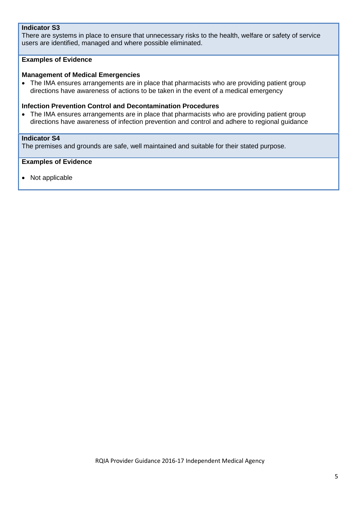#### **Indicator S3**

There are systems in place to ensure that unnecessary risks to the health, welfare or safety of service users are identified, managed and where possible eliminated.

#### **Examples of Evidence**

#### **Management of Medical Emergencies**

• The IMA ensures arrangements are in place that pharmacists who are providing patient group directions have awareness of actions to be taken in the event of a medical emergency

#### **Infection Prevention Control and Decontamination Procedures**

• The IMA ensures arrangements are in place that pharmacists who are providing patient group directions have awareness of infection prevention and control and adhere to regional guidance

#### **Indicator S4**

The premises and grounds are safe, well maintained and suitable for their stated purpose.

#### **Examples of Evidence**

• Not applicable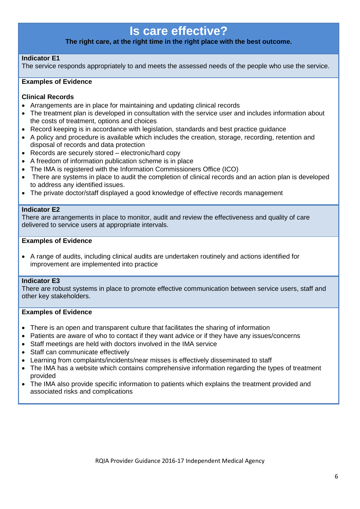## **Is care effective?**

#### **The right care, at the right time in the right place with the best outcome.**

#### **Indicator E1**

The service responds appropriately to and meets the assessed needs of the people who use the service.

#### **Examples of Evidence**

#### **Clinical Records**

- Arrangements are in place for maintaining and updating clinical records
- The treatment plan is developed in consultation with the service user and includes information about the costs of treatment, options and choices
- Record keeping is in accordance with legislation, standards and best practice guidance
- A policy and procedure is available which includes the creation, storage, recording, retention and disposal of records and data protection
- Records are securely stored electronic/hard copy
- A freedom of information publication scheme is in place
- The IMA is registered with the Information Commissioners Office (ICO)
- There are systems in place to audit the completion of clinical records and an action plan is developed to address any identified issues.
- The private doctor/staff displayed a good knowledge of effective records management

#### **Indicator E2**

There are arrangements in place to monitor, audit and review the effectiveness and quality of care delivered to service users at appropriate intervals.

#### **Examples of Evidence**

• A range of audits, including clinical audits are undertaken routinely and actions identified for improvement are implemented into practice

#### **Indicator E3**

There are robust systems in place to promote effective communication between service users, staff and other key stakeholders.

#### **Examples of Evidence**

- There is an open and transparent culture that facilitates the sharing of information
- Patients are aware of who to contact if they want advice or if they have any issues/concerns
- Staff meetings are held with doctors involved in the IMA service
- Staff can communicate effectively
- Learning from complaints/incidents/near misses is effectively disseminated to staff
- The IMA has a website which contains comprehensive information regarding the types of treatment provided
- The IMA also provide specific information to patients which explains the treatment provided and associated risks and complications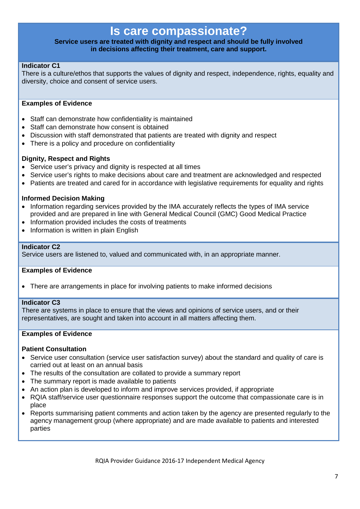### **Is care compassionate?**

#### **Service users are treated with dignity and respect and should be fully involved in decisions affecting their treatment, care and support.**

#### **Indicator C1**

There is a culture/ethos that supports the values of dignity and respect, independence, rights, equality and diversity, choice and consent of service users.

#### **Examples of Evidence**

- Staff can demonstrate how confidentiality is maintained
- Staff can demonstrate how consent is obtained
- Discussion with staff demonstrated that patients are treated with dignity and respect
- There is a policy and procedure on confidentiality

#### **Dignity, Respect and Rights**

- Service user's privacy and dignity is respected at all times
- Service user's rights to make decisions about care and treatment are acknowledged and respected
- Patients are treated and cared for in accordance with legislative requirements for equality and rights

#### **Informed Decision Making**

- Information regarding services provided by the IMA accurately reflects the types of IMA service provided and are prepared in line with General Medical Council (GMC) Good Medical Practice
- Information provided includes the costs of treatments
- Information is written in plain English

#### **Indicator C2**

Service users are listened to, valued and communicated with, in an appropriate manner.

#### **Examples of Evidence**

• There are arrangements in place for involving patients to make informed decisions

#### **Indicator C3**

There are systems in place to ensure that the views and opinions of service users, and or their representatives, are sought and taken into account in all matters affecting them.

#### **Examples of Evidence**

#### **Patient Consultation**

- Service user consultation (service user satisfaction survey) about the standard and quality of care is carried out at least on an annual basis
- The results of the consultation are collated to provide a summary report
- The summary report is made available to patients
- An action plan is developed to inform and improve services provided, if appropriate
- RQIA staff/service user questionnaire responses support the outcome that compassionate care is in place
- Reports summarising patient comments and action taken by the agency are presented regularly to the agency management group (where appropriate) and are made available to patients and interested parties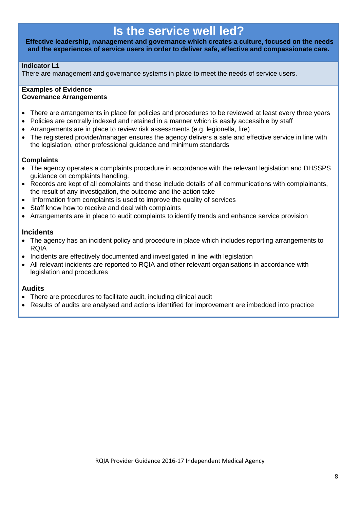## **Is the service well led?**

**Effective leadership, management and governance which creates a culture, focused on the needs and the experiences of service users in order to deliver safe, effective and compassionate care.**

#### **Indicator L1**

There are management and governance systems in place to meet the needs of service users.

#### **Examples of Evidence Governance Arrangements**

- There are arrangements in place for policies and procedures to be reviewed at least every three years
- Policies are centrally indexed and retained in a manner which is easily accessible by staff
- Arrangements are in place to review risk assessments (e.g. legionella, fire)
- The registered provider/manager ensures the agency delivers a safe and effective service in line with the legislation, other professional guidance and minimum standards

#### **Complaints**

- The agency operates a complaints procedure in accordance with the relevant legislation and DHSSPS guidance on complaints handling.
- Records are kept of all complaints and these include details of all communications with complainants, the result of any investigation, the outcome and the action take
- Information from complaints is used to improve the quality of services
- Staff know how to receive and deal with complaints
- Arrangements are in place to audit complaints to identify trends and enhance service provision

#### **Incidents**

- The agency has an incident policy and procedure in place which includes reporting arrangements to RQIA
- Incidents are effectively documented and investigated in line with legislation
- All relevant incidents are reported to RQIA and other relevant organisations in accordance with legislation and procedures

#### **Audits**

- There are procedures to facilitate audit, including clinical audit
- Results of audits are analysed and actions identified for improvement are imbedded into practice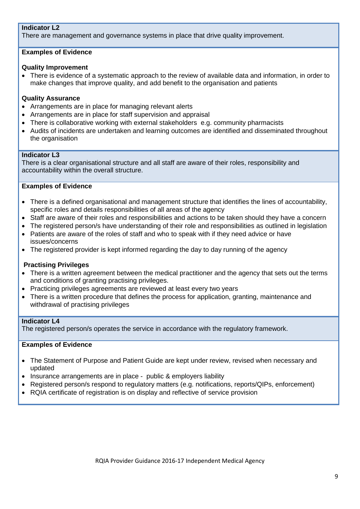#### **Indicator L2**

There are management and governance systems in place that drive quality improvement.

#### **Examples of Evidence**

#### **Quality Improvement**

• There is evidence of a systematic approach to the review of available data and information, in order to make changes that improve quality, and add benefit to the organisation and patients

#### **Quality Assurance**

- Arrangements are in place for managing relevant alerts
- Arrangements are in place for staff supervision and appraisal
- There is collaborative working with external stakeholders e.g. community pharmacists
- Audits of incidents are undertaken and learning outcomes are identified and disseminated throughout the organisation

#### **Indicator L3**

There is a clear organisational structure and all staff are aware of their roles, responsibility and accountability within the overall structure.

#### **Examples of Evidence**

- There is a defined organisational and management structure that identifies the lines of accountability, specific roles and details responsibilities of all areas of the agency
- Staff are aware of their roles and responsibilities and actions to be taken should they have a concern
- The registered person/s have understanding of their role and responsibilities as outlined in legislation
- Patients are aware of the roles of staff and who to speak with if they need advice or have issues/concerns
- The registered provider is kept informed regarding the day to day running of the agency

#### **Practising Privileges**

- There is a written agreement between the medical practitioner and the agency that sets out the terms and conditions of granting practising privileges.
- Practicing privileges agreements are reviewed at least every two years
- There is a written procedure that defines the process for application, granting, maintenance and withdrawal of practising privileges

#### **Indicator L4**

The registered person/s operates the service in accordance with the regulatory framework.

#### **Examples of Evidence**

- The Statement of Purpose and Patient Guide are kept under review, revised when necessary and updated
- Insurance arrangements are in place public & employers liability
- Registered person/s respond to regulatory matters (e.g. notifications, reports/QIPs, enforcement)
- RQIA certificate of registration is on display and reflective of service provision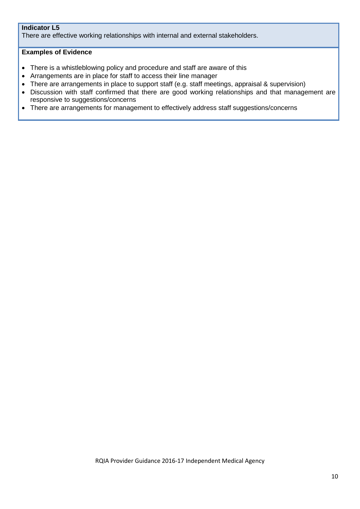#### **Indicator L5**

There are effective working relationships with internal and external stakeholders.

#### **Examples of Evidence**

- There is a whistleblowing policy and procedure and staff are aware of this
- Arrangements are in place for staff to access their line manager
- There are arrangements in place to support staff (e.g. staff meetings, appraisal & supervision)
- Discussion with staff confirmed that there are good working relationships and that management are responsive to suggestions/concerns
- There are arrangements for management to effectively address staff suggestions/concerns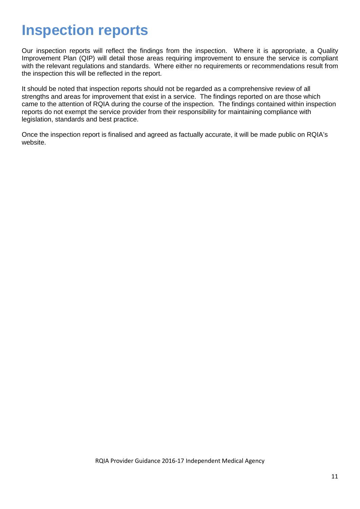# **Inspection reports**

Our inspection reports will reflect the findings from the inspection. Where it is appropriate, a Quality Improvement Plan (QIP) will detail those areas requiring improvement to ensure the service is compliant with the relevant regulations and standards. Where either no requirements or recommendations result from the inspection this will be reflected in the report.

It should be noted that inspection reports should not be regarded as a comprehensive review of all strengths and areas for improvement that exist in a service. The findings reported on are those which came to the attention of RQIA during the course of the inspection. The findings contained within inspection reports do not exempt the service provider from their responsibility for maintaining compliance with legislation, standards and best practice.

Once the inspection report is finalised and agreed as factually accurate, it will be made public on RQIA's website.